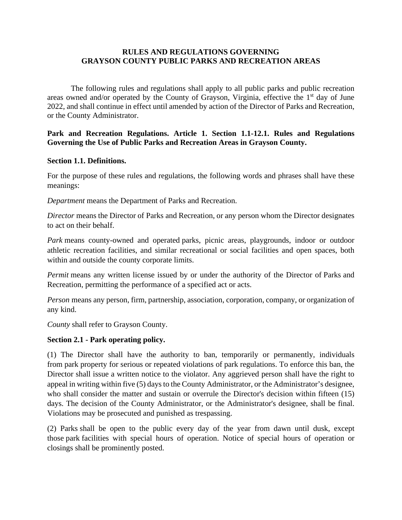#### **RULES AND REGULATIONS GOVERNING GRAYSON COUNTY PUBLIC PARKS AND RECREATION AREAS**

The following rules and regulations shall apply to all public parks and public recreation areas owned and/or operated by the County of Grayson, Virginia, effective the 1<sup>st</sup> day of June 2022, and shall continue in effect until amended by action of the Director of Parks and Recreation, or the County Administrator.

**Park and Recreation Regulations. Article 1. Section 1.1-12.1. Rules and Regulations Governing the Use of Public Parks and Recreation Areas in Grayson County.**

#### **Section 1.1. Definitions.**

For the purpose of these rules and regulations, the following words and phrases shall have these meanings:

*Department* means the Department of Parks and Recreation.

*Director* means the Director of Parks and Recreation, or any person whom the Director designates to act on their behalf.

*Park* means county-owned and operated parks, picnic areas, playgrounds, indoor or outdoor athletic recreation facilities, and similar recreational or social facilities and open spaces, both within and outside the county corporate limits.

*Permit* means any written license issued by or under the authority of the Director of Parks and Recreation, permitting the performance of a specified act or acts.

*Person* means any person, firm, partnership, association, corporation, company, or organization of any kind.

*County* shall refer to Grayson County.

#### **Section 2.1 - Park operating policy.**

(1) The Director shall have the authority to ban, temporarily or permanently, individuals from park property for serious or repeated violations of park regulations. To enforce this ban, the Director shall issue a written notice to the violator. Any aggrieved person shall have the right to appeal in writing within five (5) days to the County Administrator, or the Administrator's designee, who shall consider the matter and sustain or overrule the Director's decision within fifteen (15) days. The decision of the County Administrator, or the Administrator's designee, shall be final. Violations may be prosecuted and punished as trespassing.

(2) Parks shall be open to the public every day of the year from dawn until dusk, except those park facilities with special hours of operation. Notice of special hours of operation or closings shall be prominently posted.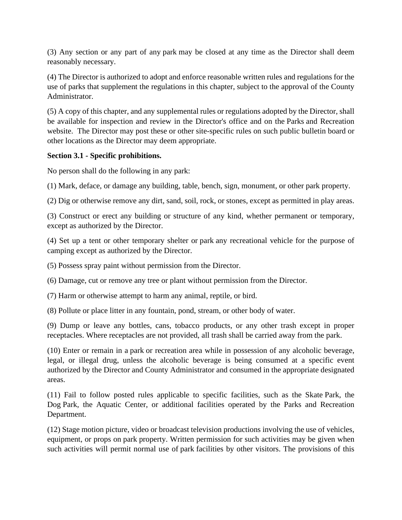(3) Any section or any part of any park may be closed at any time as the Director shall deem reasonably necessary.

(4) The Director is authorized to adopt and enforce reasonable written rules and regulations for the use of parks that supplement the regulations in this chapter, subject to the approval of the County Administrator.

(5) A copy of this chapter, and any supplemental rules or regulations adopted by the Director, shall be available for inspection and review in the Director's office and on the Parks and Recreation website. The Director may post these or other site-specific rules on such public bulletin board or other locations as the Director may deem appropriate.

### **Section 3.1 - Specific prohibitions.**

No person shall do the following in any park:

(1) Mark, deface, or damage any building, table, bench, sign, monument, or other park property.

(2) Dig or otherwise remove any dirt, sand, soil, rock, or stones, except as permitted in play areas.

(3) Construct or erect any building or structure of any kind, whether permanent or temporary, except as authorized by the Director.

(4) Set up a tent or other temporary shelter or park any recreational vehicle for the purpose of camping except as authorized by the Director.

(5) Possess spray paint without permission from the Director.

(6) Damage, cut or remove any tree or plant without permission from the Director.

(7) Harm or otherwise attempt to harm any animal, reptile, or bird.

(8) Pollute or place litter in any fountain, pond, stream, or other body of water.

(9) Dump or leave any bottles, cans, tobacco products, or any other trash except in proper receptacles. Where receptacles are not provided, all trash shall be carried away from the park.

(10) Enter or remain in a park or recreation area while in possession of any alcoholic beverage, legal, or illegal drug, unless the alcoholic beverage is being consumed at a specific event authorized by the Director and County Administrator and consumed in the appropriate designated areas.

(11) Fail to follow posted rules applicable to specific facilities, such as the Skate Park, the Dog Park, the Aquatic Center, or additional facilities operated by the Parks and Recreation Department.

(12) Stage motion picture, video or broadcast television productions involving the use of vehicles, equipment, or props on park property. Written permission for such activities may be given when such activities will permit normal use of park facilities by other visitors. The provisions of this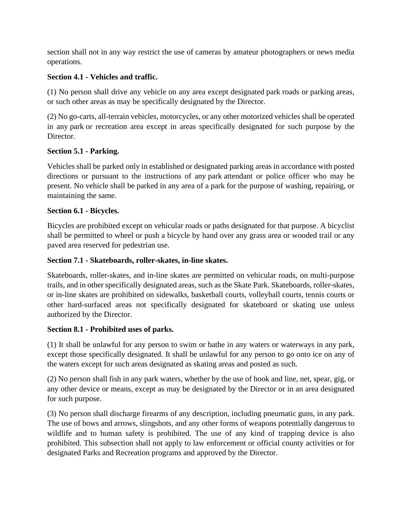section shall not in any way restrict the use of cameras by amateur photographers or news media operations.

# **Section 4.1 - Vehicles and traffic.**

(1) No person shall drive any vehicle on any area except designated park roads or parking areas, or such other areas as may be specifically designated by the Director.

(2) No go-carts, all-terrain vehicles, motorcycles, or any other motorized vehicles shall be operated in any park or recreation area except in areas specifically designated for such purpose by the Director.

## **Section 5.1 - Parking.**

Vehicles shall be parked only in established or designated parking areas in accordance with posted directions or pursuant to the instructions of any park attendant or police officer who may be present. No vehicle shall be parked in any area of a park for the purpose of washing, repairing, or maintaining the same.

### **Section 6.1 - Bicycles.**

Bicycles are prohibited except on vehicular roads or paths designated for that purpose. A bicyclist shall be permitted to wheel or push a bicycle by hand over any grass area or wooded trail or any paved area reserved for pedestrian use.

### **Section 7.1 - Skateboards, roller-skates, in-line skates.**

Skateboards, roller-skates, and in-line skates are permitted on vehicular roads, on multi-purpose trails, and in other specifically designated areas, such as the Skate Park. Skateboards, roller-skates, or in-line skates are prohibited on sidewalks, basketball courts, volleyball courts, tennis courts or other hard-surfaced areas not specifically designated for skateboard or skating use unless authorized by the Director.

### **Section 8.1 - Prohibited uses of parks.**

(1) It shall be unlawful for any person to swim or bathe in any waters or waterways in any park, except those specifically designated. It shall be unlawful for any person to go onto ice on any of the waters except for such areas designated as skating areas and posted as such.

(2) No person shall fish in any park waters, whether by the use of hook and line, net, spear, gig, or any other device or means, except as may be designated by the Director or in an area designated for such purpose.

(3) No person shall discharge firearms of any description, including pneumatic guns, in any park. The use of bows and arrows, slingshots, and any other forms of weapons potentially dangerous to wildlife and to human safety is prohibited. The use of any kind of trapping device is also prohibited. This subsection shall not apply to law enforcement or official county activities or for designated Parks and Recreation programs and approved by the Director.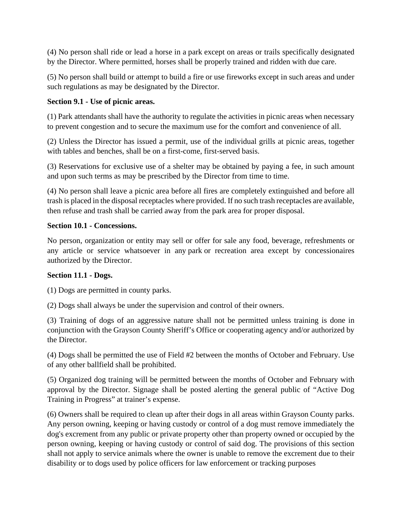(4) No person shall ride or lead a horse in a park except on areas or trails specifically designated by the Director. Where permitted, horses shall be properly trained and ridden with due care.

(5) No person shall build or attempt to build a fire or use fireworks except in such areas and under such regulations as may be designated by the Director.

## **Section 9.1 - Use of picnic areas.**

(1) Park attendants shall have the authority to regulate the activities in picnic areas when necessary to prevent congestion and to secure the maximum use for the comfort and convenience of all.

(2) Unless the Director has issued a permit, use of the individual grills at picnic areas, together with tables and benches, shall be on a first-come, first-served basis.

(3) Reservations for exclusive use of a shelter may be obtained by paying a fee, in such amount and upon such terms as may be prescribed by the Director from time to time.

(4) No person shall leave a picnic area before all fires are completely extinguished and before all trash is placed in the disposal receptacles where provided. If no such trash receptacles are available, then refuse and trash shall be carried away from the park area for proper disposal.

## **Section 10.1 - Concessions.**

No person, organization or entity may sell or offer for sale any food, beverage, refreshments or any article or service whatsoever in any park or recreation area except by concessionaires authorized by the Director.

### **Section 11.1 - Dogs.**

(1) Dogs are permitted in county parks.

(2) Dogs shall always be under the supervision and control of their owners.

(3) Training of dogs of an aggressive nature shall not be permitted unless training is done in conjunction with the Grayson County Sheriff's Office or cooperating agency and/or authorized by the Director.

(4) Dogs shall be permitted the use of Field #2 between the months of October and February. Use of any other ballfield shall be prohibited.

(5) Organized dog training will be permitted between the months of October and February with approval by the Director. Signage shall be posted alerting the general public of "Active Dog Training in Progress" at trainer's expense.

(6) Owners shall be required to clean up after their dogs in all areas within Grayson County parks. Any person owning, keeping or having custody or control of a dog must remove immediately the dog's excrement from any public or private property other than property owned or occupied by the person owning, keeping or having custody or control of said dog. The provisions of this section shall not apply to service animals where the owner is unable to remove the excrement due to their disability or to dogs used by police officers for law enforcement or tracking purposes